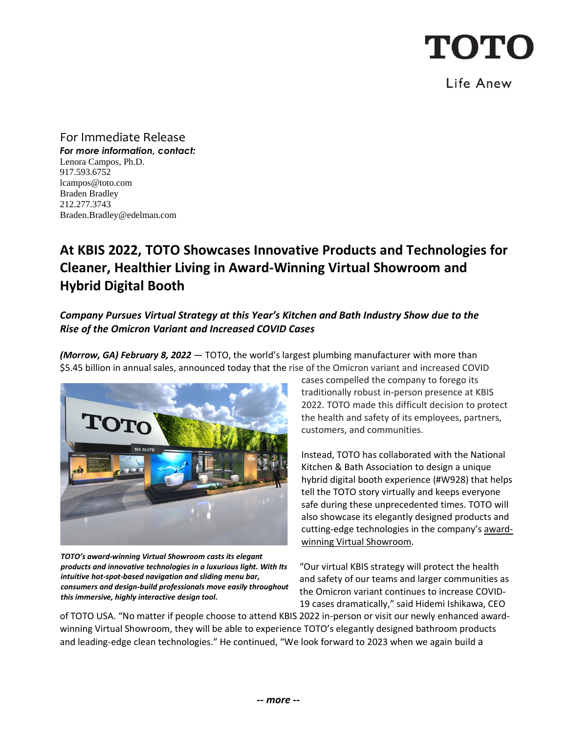Life Anew

For Immediate Release *For more information, contact:* Lenora Campos, Ph.D. 917.593.6752 [lcampos@toto.com](mailto:lcampos@toto.com) Braden Bradley 212.277.3743 Braden.Bradley@edelman.com

## **At KBIS 2022, TOTO Showcases Innovative Products and Technologies for Cleaner, Healthier Living in Award-Winning Virtual Showroom and Hybrid Digital Booth**

### *Company Pursues Virtual Strategy at this Year's Kitchen and Bath Industry Show due to the Rise of the Omicron Variant and Increased COVID Cases*

*(Morrow, GA) February 8, 2022* — TOTO, the world's largest plumbing manufacturer with more than \$5.45 billion in annual sales, announced today that the rise of the Omicron variant and increased COVID



*TOTO's award-winning Virtual Showroom casts its elegant products and innovative technologies in a luxurious light. With Its intuitive hot-spot-based navigation and sliding menu bar, consumers and design-build professionals move easily throughout this immersive, highly interactive design tool.* 

cases compelled the company to forego its traditionally robust in-person presence at KBIS 2022. TOTO made this difficult decision to protect the health and safety of its employees, partners, customers, and communities.

Instead, TOTO has collaborated with the National Kitchen & Bath Association to design a unique hybrid digital booth experience (#W928) that helps tell the TOTO story virtually and keeps everyone safe during these unprecedented times. TOTO will also showcase its elegantly designed products and cutting-edge technologies in the company's [award](https://virtualshowroom.totousa.com/default.aspx)[winning Virtual Showroom.](https://virtualshowroom.totousa.com/default.aspx)

"Our virtual KBIS strategy will protect the health and safety of our teams and larger communities as the Omicron variant continues to increase COVID-19 cases dramatically," said Hidemi Ishikawa, CEO

of TOTO USA. "No matter if people choose to attend KBIS 2022 in-person or visit our newly enhanced awardwinning Virtual Showroom, they will be able to experience TOTO's elegantly designed bathroom products and leading-edge clean technologies." He continued, "We look forward to 2023 when we again build a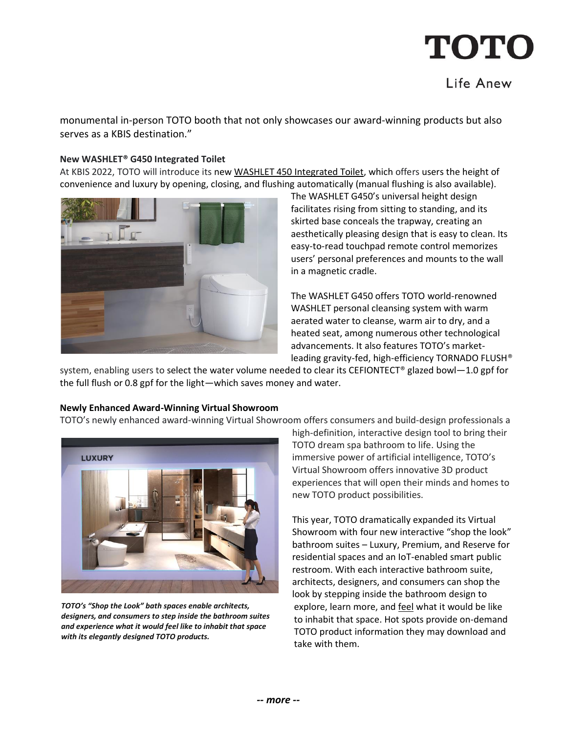### Life Anew

monumental in-person TOTO booth that not only showcases our award-winning products but also serves as a KBIS destination."

#### **New WASHLET® G450 Integrated Toilet**

At KBIS 2022, TOTO will introduce its new [WASHLET 450 Integrated Toilet,](https://www.totousa.com/washlet-with-integrated-toilet-g450-10-gpf-and-08-gpf) which offers users the height of convenience and luxury by opening, closing, and flushing automatically (manual flushing is also available).



The WASHLET G450's universal height design facilitates rising from sitting to standing, and its skirted base conceals the trapway, creating an aesthetically pleasing design that is easy to clean. Its easy-to-read touchpad remote control memorizes users' personal preferences and mounts to the wall in a magnetic cradle.

The WASHLET G450 offers TOTO world-renowned WASHLET personal cleansing system with warm aerated water to cleanse, warm air to dry, and a heated seat, among numerous other technological advancements. It also features TOTO's marketleading gravity-fed, high-efficiency TORNADO FLUSH®

system, enabling users to select the water volume needed to clear its CEFIONTECT® glazed bowl—1.0 gpf for the full flush or 0.8 gpf for the light—which saves money and water.

#### **Newly Enhanced Award-Winning Virtual Showroom**

TOTO's newly enhanced award-winning Virtual Showroom offers consumers and build-design professionals a



*TOTO's "Shop the Look" bath spaces enable architects, designers, and consumers to step inside the bathroom suites and experience what it would feel like to inhabit that space with its elegantly designed TOTO products.*

high-definition, interactive design tool to bring their TOTO dream spa bathroom to life. Using the immersive power of artificial intelligence, TOTO's Virtual Showroom offers innovative 3D product experiences that will open their minds and homes to new TOTO product possibilities.

This year, TOTO dramatically expanded its Virtual Showroom with four new interactive "shop the look" bathroom suites – Luxury, Premium, and Reserve for residential spaces and an IoT-enabled smart public restroom. With each interactive bathroom suite, architects, designers, and consumers can shop the look by stepping inside the bathroom design to explore, learn more, and feel what it would be like to inhabit that space. Hot spots provide on-demand TOTO product information they may download and take with them.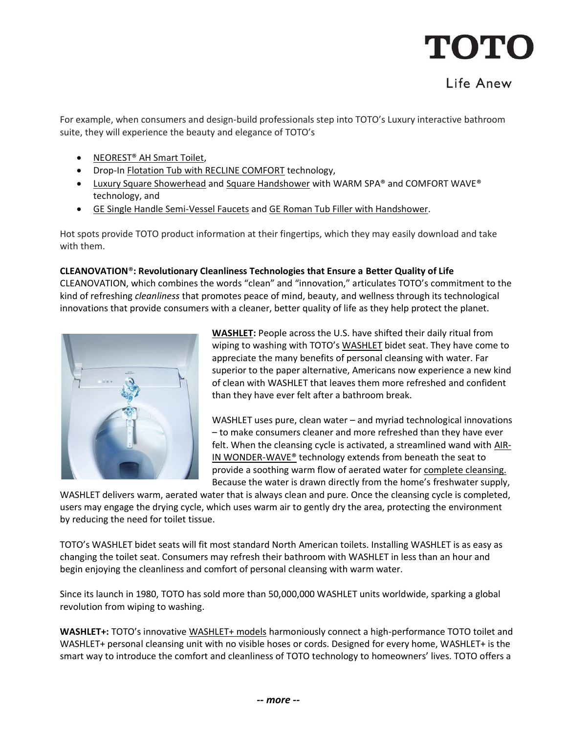### Life Anew

For example, when consumers and design-build professionals step into TOTO's Luxury interactive bathroom suite, they will experience the beauty and elegance of TOTO's

- [NEOREST® AH Smart Toilet,](https://www.totousa.com/neorest-ah-dual-flush-toilet-10-08-gpf)
- Drop-In [Flotation Tub with RECLINE COMFORT](https://www.totousa.com/flotation-drop-in-1700) technology,
- [Luxury Square Showerhead](https://www.totousa.com/square-showerhead-2-mode-175-gpm) and [Square Handshower](https://www.totousa.com/square-handshower-1-mode) with WARM SPA® and COMFORT WAVE® technology, and
- [GE Single Handle Semi-Vessel Faucets](https://www.totousa.com/ge-single-handle-faucet-12-gpm-semi-vessel) and [GE Roman Tub Filler with Handshower.](https://www.totousa.com/ge-four-hole-tub-filler-trim)

Hot spots provide TOTO product information at their fingertips, which they may easily download and take with them.

#### **CLEANOVATION**®**: Revolutionary Cleanliness Technologies that Ensure a Better Quality of Life**

CLEANOVATION, which combines the words "clean" and "innovation," articulates TOTO's commitment to the kind of refreshing *cleanliness* that promotes peace of mind, beauty, and wellness through its technological innovations that provide consumers with a cleaner, better quality of life as they help protect the planet.



**[WASHLET:](https://www.youtube.com/watch?v=U8KyBlGWI2k)** People across the U.S. have shifted their daily ritual from wiping to washing with TOTO's [WASHLET](https://washlet.totousa.com/) bidet seat. They have come to appreciate the many benefits of personal cleansing with water. Far superior to the paper alternative, Americans now experience a new kind of clean with WASHLET that leaves them more refreshed and confident than they have ever felt after a bathroom break.

WASHLET uses pure, clean water – and myriad technological innovations – to make consumers cleaner and more refreshed than they have ever felt. When the cleansing cycle is activated, a streamlined wand wit[h AIR-](https://www.youtube.com/watch?v=Lld8NSGslJk)IN WONDER-WAVE<sup>®</sup> technology extends from beneath the seat to provide a soothing warm flow of aerated water for [complete cleansing.](https://www.youtube.com/watch?v=7UYuLqRA_NM) Because the water is drawn directly from the home's freshwater supply,

WASHLET delivers warm, aerated water that is always clean and pure. Once the cleansing cycle is completed, users may engage the drying cycle, which uses warm air to gently dry the area, protecting the environment by reducing the need for toilet tissue.

TOTO's WASHLET bidet seats will fit most standard North American toilets. Installing WASHLET is as easy as changing the toilet seat. Consumers may refresh their bathroom with WASHLET in less than an hour and begin enjoying the cleanliness and comfort of personal cleansing with warm water.

Since its launch in 1980, TOTO has sold more than 50,000,000 WASHLET units worldwide, sparking a global revolution from wiping to washing.

**WASHLET+:** TOTO's innovative [WASHLET+ models](https://www.totousa.com/products/washlet#subcategories=10175212631916030446) harmoniously connect a high-performance TOTO toilet and WASHLET+ personal cleansing unit with no visible hoses or cords. Designed for every home, WASHLET+ is the smart way to introduce the comfort and cleanliness of TOTO technology to homeowners' lives. TOTO offers a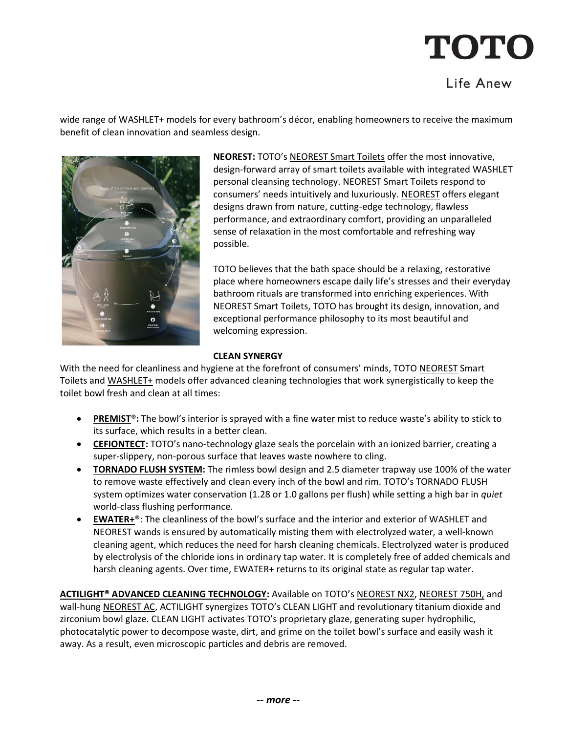# TOTC

### Life Anew

wide range of WASHLET+ models for every bathroom's décor, enabling homeowners to receive the maximum benefit of clean innovation and seamless design.



**NEOREST:** TOTO's [NEOREST Smart Toilets](https://www.totousa.com/products/toilets/neorest#subcategories=10172481656479412699) offer the most innovative, design-forward array of smart toilets available with integrated WASHLET personal cleansing technology. NEOREST Smart Toilets respond to consumers' needs intuitively and luxuriously. [NEOREST](https://www.totousa.com/neorest) offers elegant designs drawn from nature, cutting-edge technology, flawless performance, and extraordinary comfort, providing an unparalleled sense of relaxation in the most comfortable and refreshing way possible.

TOTO believes that the bath space should be a relaxing, restorative place where homeowners escape daily life's stresses and their everyday bathroom rituals are transformed into enriching experiences. With NEOREST Smart Toilets, TOTO has brought its design, innovation, and exceptional performance philosophy to its most beautiful and welcoming expression.

#### **CLEAN SYNERGY**

With the need for cleanliness and hygiene at the forefront of consumers' minds, TOTO [NEOREST](https://www.totousa.com/products/neorest#subcategories=10176582062232732661) Smart Toilets and [WASHLET+](https://www.totousa.com/search?query=washlet%2B) models offer advanced cleaning technologies that work synergistically to keep the toilet bowl fresh and clean at all times:

- **[PREMIST®](https://www.youtube.com/watch?v=SUc4CxRS_yg):** The bowl's interior is sprayed with a fine water mist to reduce waste's ability to stick to its surface, which results in a better clean.
- **[CEFIONTECT:](https://www.youtube.com/watch?v=q7yC84CwHo4)** TOTO's nano-technology glaze seals the porcelain with an ionized barrier, creating a super-slippery, non-porous surface that leaves waste nowhere to cling.
- **[TORNADO FLUSH SYSTEM:](https://www.youtube.com/watch?v=kwAIZgyCboA)** The rimless bowl design and 2.5 diameter trapway use 100% of the water to remove waste effectively and clean every inch of the bowl and rim. TOTO's TORNADO FLUSH system optimizes water conservation (1.28 or 1.0 gallons per flush) while setting a high bar in *quiet* world-class flushing performance.
- **[EWATER+](https://www.youtube.com/watch?v=rPG_reHr2uo)**®: The cleanliness of the bowl's surface and the interior and exterior of WASHLET and NEOREST wands is ensured by automatically misting them with electrolyzed water, a well-known cleaning agent, which reduces the need for harsh cleaning chemicals. Electrolyzed water is produced by electrolysis of the chloride ions in ordinary tap water. It is completely free of added chemicals and harsh cleaning agents. Over time, EWATER+ returns to its original state as regular tap water.

**[ACTILIGHT® ADVANCED CLEANING TECHNOLOGY:](https://www.youtube.com/watch?v=27VORWaAZSc)** Available on TOTO's [NEOREST NX2,](https://www.totousa.com/neorest-nx2-dual-flush-toilet-10-gpf-08-gpf) [NEOREST 750H,](https://www.totousa.com/neorest-750h-dual-flush-toilet-10-and-08-gpf-with-actilight) and wall-hung [NEOREST AC,](https://www.totousa.com/neorest-ac-wall-hung-dual-flush-toilet-with-actilight) ACTILIGHT synergizes TOTO's CLEAN LIGHT and revolutionary titanium dioxide and zirconium bowl glaze. CLEAN LIGHT activates TOTO's proprietary glaze, generating super hydrophilic, photocatalytic power to decompose waste, dirt, and grime on the toilet bowl's surface and easily wash it away. As a result, even microscopic particles and debris are removed.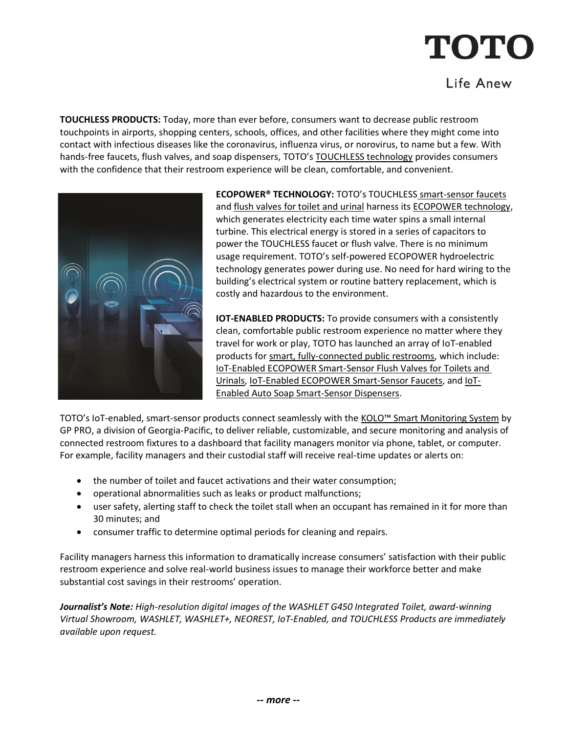### Life Anew

**TOUCHLESS PRODUCTS:** Today, more than ever before, consumers want to decrease public restroom touchpoints in airports, shopping centers, schools, offices, and other facilities where they might come into contact with infectious diseases like the coronavirus, influenza virus, or norovirus, to name but a few. With hands-free faucets, flush valves, and soap dispensers, TOTO's [TOUCHLESS technology](https://www.totousa.com/touchless) provides consumers with the confidence that their restroom experience will be clean, comfortable, and convenient.



**ECOPOWER® TECHNOLOGY:** TOTO's TOUCHLESS [smart-sensor faucets](https://www.totousa.com/products/commercial#subcategories=10170249937293649938) an[d flush valves for toilet and urinal](https://www.totousa.com/products/commercial#subcategories=10172282318988567253) harness its [ECOPOWER technology,](https://www.youtube.com/watch?v=10YGzGgnjb0) which generates electricity each time water spins a small internal turbine. This electrical energy is stored in a series of capacitors to power the TOUCHLESS faucet or flush valve. There is no minimum usage requirement. TOTO's self-powered ECOPOWER hydroelectric technology generates power during use. No need for hard wiring to the building's electrical system or routine battery replacement, which is costly and hazardous to the environment.

**IOT-ENABLED PRODUCTS:** To provide consumers with a consistently clean, comfortable public restroom experience no matter where they travel for work or play, TOTO has launched an array of IoT-enabled products for [smart, fully-connected public restrooms,](https://www.totousa.com/toto-smart-restroom) which include: [IoT-Enabled ECOPOWER Smart-Sensor Flush Valves for Toilets and](https://www.totousa.com/products/commercial#subcategories=10172282318988567253&iot_subcats=10172282318988567253)  [Urinals,](https://www.totousa.com/products/commercial#subcategories=10172282318988567253&iot_subcats=10172282318988567253) [IoT-Enabled ECOPOWER Smart-Sensor Faucets,](https://www.totousa.com/products/commercial#subcategories=10170249937293649938&iot_subcats=10170249937293649938) and [IoT-](https://www.totousa.com/products/commercial#subcategories=10171137225267680923&iot_subcats=10171137225267680923)[Enabled Auto Soap Smart-Sensor Dispensers.](https://www.totousa.com/products/commercial#subcategories=10171137225267680923&iot_subcats=10171137225267680923)

TOTO's IoT-enabled, smart-sensor products connect seamlessly with the [KOLO™ Smart Monitoring System](https://www.gppro.com/gp/solutions/kolo-smart-monitoring-system?utm_source=press-release&utm_medium=public-relations&utm_campaign=kolo-smart-monitoring-system) by GP PRO, a division of Georgia-Pacific, to deliver reliable, customizable, and secure monitoring and analysis of connected restroom fixtures to a dashboard that facility managers monitor via phone, tablet, or computer. For example, facility managers and their custodial staff will receive real-time updates or alerts on:

- the number of toilet and faucet activations and their water consumption;
- operational abnormalities such as leaks or product malfunctions;
- user safety, alerting staff to check the toilet stall when an occupant has remained in it for more than 30 minutes; and
- consumer traffic to determine optimal periods for cleaning and repairs.

Facility managers harness this information to dramatically increase consumers' satisfaction with their public restroom experience and solve real-world business issues to manage their workforce better and make substantial cost savings in their restrooms' operation.

*Journalist's Note: High-resolution digital images of the WASHLET G450 Integrated Toilet, award-winning Virtual Showroom, WASHLET, WASHLET+, NEOREST, IoT-Enabled, and TOUCHLESS Products are immediately available upon request.*